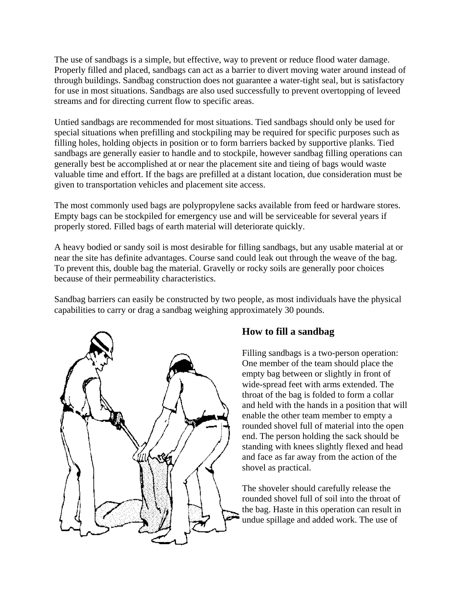The use of sandbags is a simple, but effective, way to prevent or reduce flood water damage. Properly filled and placed, sandbags can act as a barrier to divert moving water around instead of through buildings. Sandbag construction does not guarantee a water-tight seal, but is satisfactory for use in most situations. Sandbags are also used successfully to prevent overtopping of leveed streams and for directing current flow to specific areas.

Untied sandbags are recommended for most situations. Tied sandbags should only be used for special situations when prefilling and stockpiling may be required for specific purposes such as filling holes, holding objects in position or to form barriers backed by supportive planks. Tied sandbags are generally easier to handle and to stockpile, however sandbag filling operations can generally best be accomplished at or near the placement site and tieing of bags would waste valuable time and effort. If the bags are prefilled at a distant location, due consideration must be given to transportation vehicles and placement site access.

The most commonly used bags are polypropylene sacks available from feed or hardware stores. Empty bags can be stockpiled for emergency use and will be serviceable for several years if properly stored. Filled bags of earth material will deteriorate quickly.

A heavy bodied or sandy soil is most desirable for filling sandbags, but any usable material at or near the site has definite advantages. Course sand could leak out through the weave of the bag. To prevent this, double bag the material. Gravelly or rocky soils are generally poor choices because of their permeability characteristics.

Sandbag barriers can easily be constructed by two people, as most individuals have the physical capabilities to carry or drag a sandbag weighing approximately 30 pounds.



## **How to fill a sandbag**

Filling sandbags is a two-person operation: One member of the team should place the empty bag between or slightly in front of wide-spread feet with arms extended. The throat of the bag is folded to form a collar and held with the hands in a position that will enable the other team member to empty a rounded shovel full of material into the open end. The person holding the sack should be standing with knees slightly flexed and head and face as far away from the action of the shovel as practical.

The shoveler should carefully release the rounded shovel full of soil into the throat of the bag. Haste in this operation can result in undue spillage and added work. The use of